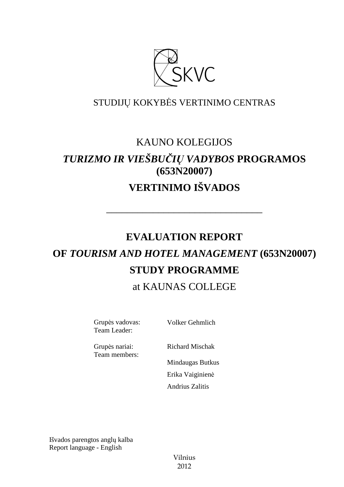

## STUDIJŲ KOKYBĖS VERTINIMO CENTRAS

## KAUNO KOLEGIJOS *TURIZMO IR VIEŠBUČIŲ VADYBOS* **PROGRAMOS (653N20007) VERTINIMO IŠVADOS**

# **EVALUATION REPORT OF** *TOURISM AND HOTEL MANAGEMENT* **(653N20007) STUDY PROGRAMME**

––––––––––––––––––––––––––––––

### at KAUNAS COLLEGE

Grupės vadovas: Team Leader:

Volker Gehmlich

Grupės nariai: Team members: Richard Mischak

Mindaugas Butkus Erika Vaiginienė Andrius Zalitis

Išvados parengtos anglų kalba Report language - English

> Vilnius 2012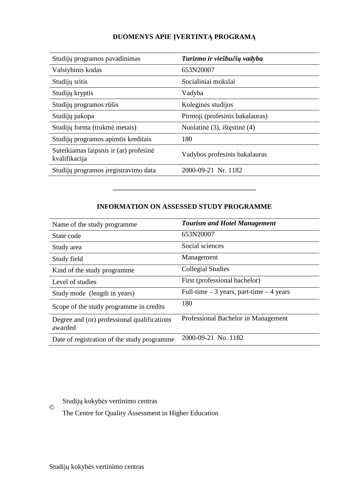#### **DUOMENYS APIE ĮVERTINTĄ PROGRAMĄ**

| Studijų programos pavadinimas                           | Turizmo ir viešbučių vadyba     |
|---------------------------------------------------------|---------------------------------|
| Valstybinis kodas                                       | 653N20007                       |
| Studijų sritis                                          | Socialiniai mokslai             |
| Studijų kryptis                                         | Vadyba                          |
| Studijų programos rūšis                                 | Koleginės studijos              |
| Studijų pakopa                                          | Pirmoji (profesinis bakalauras) |
| Studijų forma (trukmė metais)                           | Nuolatinė (3), ištęstinė (4)    |
| Studijų programos apimtis kreditais                     | 180                             |
| Suteikiamas laipsnis ir (ar) profesinė<br>kvalifikacija | Vadybos profesinis bakalauras   |
| Studijų programos įregistravimo data                    | 2000-09-21 Nr. 1182             |

#### **INFORMATION ON ASSESSED STUDY PROGRAMME**

–––––––––––––––––––––––––––––––

| Name of the study programme.                           | <b>Tourism and Hotel Management</b>        |
|--------------------------------------------------------|--------------------------------------------|
| State code                                             | 653N20007                                  |
| Study area                                             | Social sciences                            |
| Study field                                            | Management                                 |
| Kind of the study programme.                           | <b>Collegial Studies</b>                   |
| Level of studies                                       | First (professional bachelor)              |
| Study mode (length in years)                           | Full-time $-3$ years, part-time $-4$ years |
| Scope of the study programme in credits                | 180                                        |
| Degree and (or) professional qualifications<br>awarded | Professional Bachelor in Management        |
| Date of registration of the study programme            | 2000-09-21 No. 1182                        |

Studijų kokybės vertinimo centras

The Centre for Quality Assessment in Higher Education

©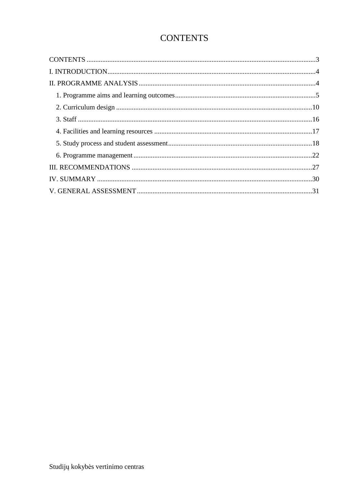## **CONTENTS**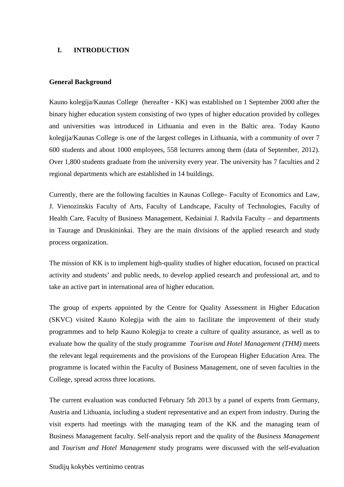#### **I. INTRODUCTION**

#### **General Background**

Kauno kolegija/Kaunas College (hereafter - KK) was established on 1 September 2000 after the binary higher education system consisting of two types of higher education provided by colleges and universities was introduced in Lithuania and even in the Baltic area. Today Kauno kolegija/Kaunas College is one of the largest colleges in Lithuania, with a community of over 7 600 students and about 1000 employees, 558 lecturers among them (data of September, 2012). Over 1,800 students graduate from the university every year. The university has 7 faculties and 2 regional departments which are established in 14 buildings.

Currently, there are the following faculties in Kaunas College– Faculty of Economics and Law, J. Vienozinskis Faculty of Arts, Faculty of Landscape, Faculty of Technologies, Faculty of Health Care, Faculty of Business Management, Kedainiai J. Radvila Faculty – and departments in Taurage and Druskininkai. They are the main divisions of the applied research and study process organization.

The mission of KK is to implement high-quality studies of higher education, focused on practical activity and students' and public needs, to develop applied research and professional art, and to take an active part in international area of higher education.

The group of experts appointed by the Centre for Quality Assessment in Higher Education (SKVC) visited Kauno Kolegija with the aim to facilitate the improvement of their study programmes and to help Kauno Kolegija to create a culture of quality assurance, as well as to evaluate how the quality of the study programme *Tourism and Hotel Management (THM)* meets the relevant legal requirements and the provisions of the European Higher Education Area. The programme is located within the Faculty of Business Management, one of seven faculties in the College, spread across three locations.

The current evaluation was conducted February 5th 2013 by a panel of experts from Germany, Austria and Lithuania, including a student representative and an expert from industry. During the visit experts had meetings with the managing team of the KK and the managing team of Business Management faculty. Self-analysis report and the quality of the *Business Management* and *Tourism and Hotel Management* study programs were discussed with the self-evaluation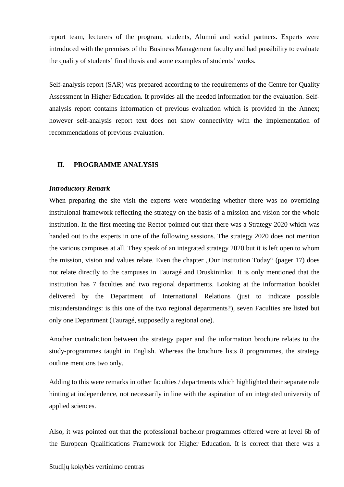report team, lecturers of the program, students, Alumni and social partners. Experts were introduced with the premises of the Business Management faculty and had possibility to evaluate the quality of students' final thesis and some examples of students' works.

Self-analysis report (SAR) was prepared according to the requirements of the Centre for Quality Assessment in Higher Education. It provides all the needed information for the evaluation. Selfanalysis report contains information of previous evaluation which is provided in the Annex; however self-analysis report text does not show connectivity with the implementation of recommendations of previous evaluation.

#### **II. PROGRAMME ANALYSIS**

#### *Introductory Remark*

When preparing the site visit the experts were wondering whether there was no overriding instituional framework reflecting the strategy on the basis of a mission and vision for the whole institution. In the first meeting the Rector pointed out that there was a Strategy 2020 which was handed out to the experts in one of the following sessions. The strategy 2020 does not mention the various campuses at all. They speak of an integrated strategy 2020 but it is left open to whom the mission, vision and values relate. Even the chapter "Our Institution Today" (pager 17) does not relate directly to the campuses in Tauragé and Druskininkai. It is only mentioned that the institution has 7 faculties and two regional departments. Looking at the information booklet delivered by the Department of International Relations (just to indicate possible misunderstandings: is this one of the two regional departments?), seven Faculties are listed but only one Department (Tauragé, supposedly a regional one).

Another contradiction between the strategy paper and the information brochure relates to the study-programmes taught in English. Whereas the brochure lists 8 programmes, the strategy outline mentions two only.

Adding to this were remarks in other faculties / departments which highlighted their separate role hinting at independence, not necessarily in line with the aspiration of an integrated university of applied sciences.

Also, it was pointed out that the professional bachelor programmes offered were at level 6b of the European Qualifications Framework for Higher Education. It is correct that there was a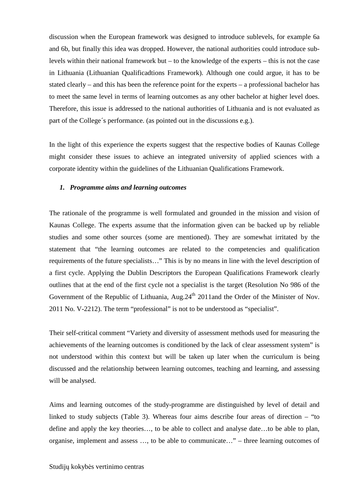discussion when the European framework was designed to introduce sublevels, for example 6a and 6b, but finally this idea was dropped. However, the national authorities could introduce sublevels within their national framework but – to the knowledge of the experts – this is not the case in Lithuania (Lithuanian Qualificadtions Framework). Although one could argue, it has to be stated clearly – and this has been the reference point for the experts – a professional bachelor has to meet the same level in terms of learning outcomes as any other bachelor at higher level does. Therefore, this issue is addressed to the national authorities of Lithuania and is not evaluated as part of the College´s performance. (as pointed out in the discussions e.g.).

In the light of this experience the experts suggest that the respective bodies of Kaunas College might consider these issues to achieve an integrated university of applied sciences with a corporate identity within the guidelines of the Lithuanian Qualifications Framework.

#### *1. Programme aims and learning outcomes*

The rationale of the programme is well formulated and grounded in the mission and vision of Kaunas College. The experts assume that the information given can be backed up by reliable studies and some other sources (some are mentioned). They are somewhat irritated by the statement that "the learning outcomes are related to the competencies and qualification requirements of the future specialists…" This is by no means in line with the level description of a first cycle. Applying the Dublin Descriptors the European Qualifications Framework clearly outlines that at the end of the first cycle not a specialist is the target (Resolution No 986 of the Government of the Republic of Lithuania,  $Aug.24<sup>th</sup> 2011$  and the Order of the Minister of Nov. 2011 No. V-2212). The term "professional" is not to be understood as "specialist".

Their self-critical comment "Variety and diversity of assessment methods used for measuring the achievements of the learning outcomes is conditioned by the lack of clear assessment system" is not understood within this context but will be taken up later when the curriculum is being discussed and the relationship between learning outcomes, teaching and learning, and assessing will be analysed.

Aims and learning outcomes of the study-programme are distinguished by level of detail and linked to study subjects (Table 3). Whereas four aims describe four areas of direction – "to define and apply the key theories…, to be able to collect and analyse date…to be able to plan, organise, implement and assess …, to be able to communicate…" – three learning outcomes of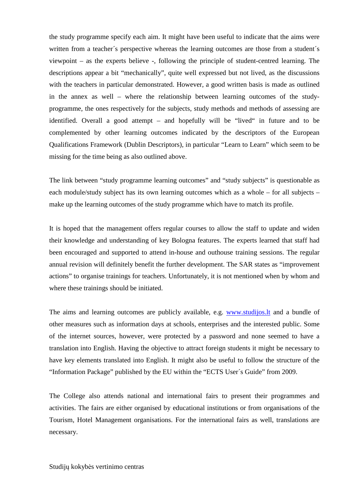the study programme specify each aim. It might have been useful to indicate that the aims were written from a teacher's perspective whereas the learning outcomes are those from a student's viewpoint – as the experts believe -, following the principle of student-centred learning. The descriptions appear a bit "mechanically", quite well expressed but not lived, as the discussions with the teachers in particular demonstrated. However, a good written basis is made as outlined in the annex as well – where the relationship between learning outcomes of the studyprogramme, the ones respectively for the subjects, study methods and methods of assessing are identified. Overall a good attempt – and hopefully will be "lived" in future and to be complemented by other learning outcomes indicated by the descriptors of the European Qualifications Framework (Dublin Descriptors), in particular "Learn to Learn" which seem to be missing for the time being as also outlined above.

The link between "study programme learning outcomes" and "study subjects" is questionable as each module/study subject has its own learning outcomes which as a whole – for all subjects – make up the learning outcomes of the study programme which have to match its profile.

It is hoped that the management offers regular courses to allow the staff to update and widen their knowledge and understanding of key Bologna features. The experts learned that staff had been encouraged and supported to attend in-house and outhouse training sessions. The regular annual revision will definitely benefit the further development. The SAR states as "improvement actions" to organise trainings for teachers. Unfortunately, it is not mentioned when by whom and where these trainings should be initiated.

The aims and learning outcomes are publicly available, e.g. www.studijos.lt and a bundle of other measures such as information days at schools, enterprises and the interested public. Some of the internet sources, however, were protected by a password and none seemed to have a translation into English. Having the objective to attract foreign students it might be necessary to have key elements translated into English. It might also be useful to follow the structure of the "Information Package" published by the EU within the "ECTS User´s Guide" from 2009.

The College also attends national and international fairs to present their programmes and activities. The fairs are either organised by educational institutions or from organisations of the Tourism, Hotel Management organisations. For the international fairs as well, translations are necessary.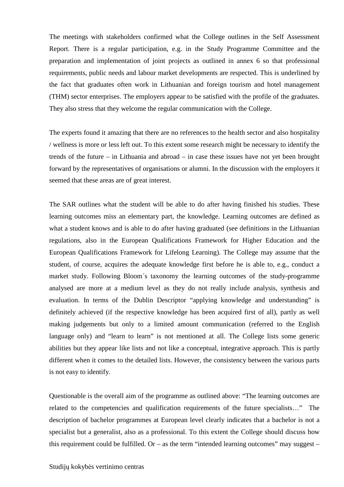The meetings with stakeholders confirmed what the College outlines in the Self Assessment Report. There is a regular participation, e.g. in the Study Programme Committee and the preparation and implementation of joint projects as outlined in annex 6 so that professional requirements, public needs and labour market developments are respected. This is underlined by the fact that graduates often work in Lithuanian and foreign tourism and hotel management (THM) sector enterprises. The employers appear to be satisfied with the profile of the graduates. They also stress that they welcome the regular communication with the College.

The experts found it amazing that there are no references to the health sector and also hospitality / wellness is more or less left out. To this extent some research might be necessary to identify the trends of the future – in Lithuania and abroad – in case these issues have not yet been brought forward by the representatives of organisations or alumni. In the discussion with the employers it seemed that these areas are of great interest.

The SAR outlines what the student will be able to do after having finished his studies. These learning outcomes miss an elementary part, the knowledge. Learning outcomes are defined as what a student knows and is able to do after having graduated (see definitions in the Lithuanian regulations, also in the European Qualifications Framework for Higher Education and the European Qualifications Framework for Lifelong Learning). The College may assume that the student, of course, acquires the adequate knowledge first before he is able to, e.g., conduct a market study. Following Bloom´s taxonomy the learning outcomes of the study-programme analysed are more at a medium level as they do not really include analysis, synthesis and evaluation. In terms of the Dublin Descriptor "applying knowledge and understanding" is definitely achieved (if the respective knowledge has been acquired first of all), partly as well making judgements but only to a limited amount communication (referred to the English language only) and "learn to learn" is not mentioned at all. The College lists some generic abilities but they appear like lists and not like a conceptual, integrative approach. This is partly different when it comes to the detailed lists. However, the consistency between the various parts is not easy to identify.

Questionable is the overall aim of the programme as outlined above: "The learning outcomes are related to the competencies and qualification requirements of the future specialists…" The description of bachelor programmes at European level clearly indicates that a bachelor is not a specialist but a generalist, also as a professional. To this extent the College should discuss how this requirement could be fulfilled. Or – as the term "intended learning outcomes" may suggest –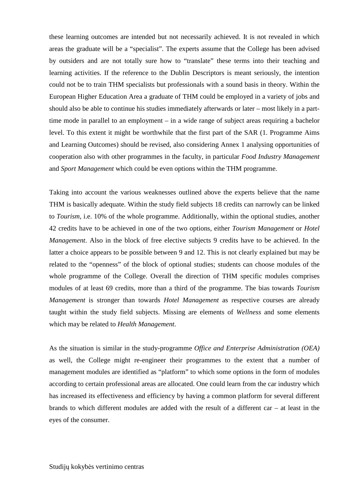these learning outcomes are intended but not necessarily achieved. It is not revealed in which areas the graduate will be a "specialist". The experts assume that the College has been advised by outsiders and are not totally sure how to "translate" these terms into their teaching and learning activities. If the reference to the Dublin Descriptors is meant seriously, the intention could not be to train THM specialists but professionals with a sound basis in theory. Within the European Higher Education Area a graduate of THM could be employed in a variety of jobs and should also be able to continue his studies immediately afterwards or later – most likely in a parttime mode in parallel to an employment – in a wide range of subject areas requiring a bachelor level. To this extent it might be worthwhile that the first part of the SAR (1. Programme Aims and Learning Outcomes) should be revised, also considering Annex 1 analysing opportunities of cooperation also with other programmes in the faculty, in particular *Food Industry Management* and *Sport Management* which could be even options within the THM programme.

Taking into account the various weaknesses outlined above the experts believe that the name THM is basically adequate. Within the study field subjects 18 credits can narrowly can be linked to *Tourism*, i.e. 10% of the whole programme. Additionally, within the optional studies, another 42 credits have to be achieved in one of the two options, either *Tourism Management* or *Hotel Management*. Also in the block of free elective subjects 9 credits have to be achieved. In the latter a choice appears to be possible between 9 and 12. This is not clearly explained but may be related to the "openness" of the block of optional studies; students can choose modules of the whole programme of the College. Overall the direction of THM specific modules comprises modules of at least 69 credits, more than a third of the programme. The bias towards *Tourism Management* is stronger than towards *Hotel Management* as respective courses are already taught within the study field subjects. Missing are elements of *Wellness* and some elements which may be related to *Health Management*.

As the situation is similar in the study-programme *Office and Enterprise Administration (OEA)* as well, the College might re-engineer their programmes to the extent that a number of management modules are identified as "platform" to which some options in the form of modules according to certain professional areas are allocated. One could learn from the car industry which has increased its effectiveness and efficiency by having a common platform for several different brands to which different modules are added with the result of a different car – at least in the eyes of the consumer.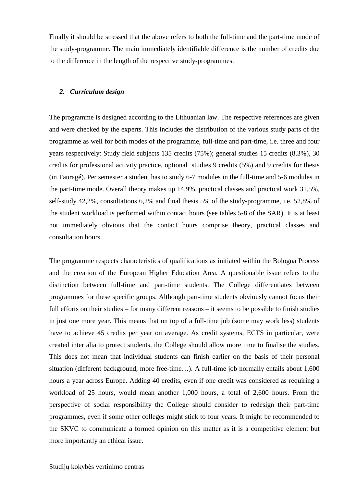Finally it should be stressed that the above refers to both the full-time and the part-time mode of the study-programme. The main immediately identifiable difference is the number of credits due to the difference in the length of the respective study-programmes.

#### *2. Curriculum design*

The programme is designed according to the Lithuanian law. The respective references are given and were checked by the experts. This includes the distribution of the various study parts of the programme as well for both modes of the programme, full-time and part-time, i.e. three and four years respectively: Study field subjects 135 credits (75%); general studies 15 credits (8.3%), 30 credits for professional activity practice, optional studies 9 credits (5%) and 9 credits for thesis (in Tauragé). Per semester a student has to study 6-7 modules in the full-time and 5-6 modules in the part-time mode. Overall theory makes up 14,9%, practical classes and practical work 31,5%, self-study 42,2%, consultations 6,2% and final thesis 5% of the study-programme, i.e. 52,8% of the student workload is performed within contact hours (see tables 5-8 of the SAR). It is at least not immediately obvious that the contact hours comprise theory, practical classes and consultation hours.

The programme respects characteristics of qualifications as initiated within the Bologna Process and the creation of the European Higher Education Area. A questionable issue refers to the distinction between full-time and part-time students. The College differentiates between programmes for these specific groups. Although part-time students obviously cannot focus their full efforts on their studies – for many different reasons – it seems to be possible to finish studies in just one more year. This means that on top of a full-time job (some may work less) students have to achieve 45 credits per year on average. As credit systems, ECTS in particular, were created inter alia to protect students, the College should allow more time to finalise the studies. This does not mean that individual students can finish earlier on the basis of their personal situation (different background, more free-time…). A full-time job normally entails about 1,600 hours a year across Europe. Adding 40 credits, even if one credit was considered as requiring a workload of 25 hours, would mean another 1,000 hours, a total of 2,600 hours. From the perspective of social responsibility the College should consider to redesign their part-time programmes, even if some other colleges might stick to four years. It might be recommended to the SKVC to communicate a formed opinion on this matter as it is a competitive element but more importantly an ethical issue.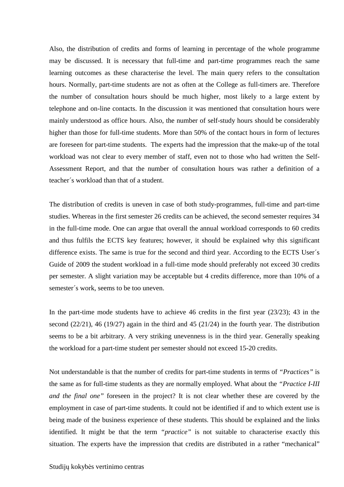Also, the distribution of credits and forms of learning in percentage of the whole programme may be discussed. It is necessary that full-time and part-time programmes reach the same learning outcomes as these characterise the level. The main query refers to the consultation hours. Normally, part-time students are not as often at the College as full-timers are. Therefore the number of consultation hours should be much higher, most likely to a large extent by telephone and on-line contacts. In the discussion it was mentioned that consultation hours were mainly understood as office hours. Also, the number of self-study hours should be considerably higher than those for full-time students. More than 50% of the contact hours in form of lectures are foreseen for part-time students. The experts had the impression that the make-up of the total workload was not clear to every member of staff, even not to those who had written the Self-Assessment Report, and that the number of consultation hours was rather a definition of a teacher´s workload than that of a student.

The distribution of credits is uneven in case of both study-programmes, full-time and part-time studies. Whereas in the first semester 26 credits can be achieved, the second semester requires 34 in the full-time mode. One can argue that overall the annual workload corresponds to 60 credits and thus fulfils the ECTS key features; however, it should be explained why this significant difference exists. The same is true for the second and third year. According to the ECTS User´s Guide of 2009 the student workload in a full-time mode should preferably not exceed 30 credits per semester. A slight variation may be acceptable but 4 credits difference, more than 10% of a semester´s work, seems to be too uneven.

In the part-time mode students have to achieve 46 credits in the first year (23/23); 43 in the second (22/21), 46 (19/27) again in the third and 45 (21/24) in the fourth year. The distribution seems to be a bit arbitrary. A very striking unevenness is in the third year. Generally speaking the workload for a part-time student per semester should not exceed 15-20 credits.

Not understandable is that the number of credits for part-time students in terms of *"Practices"* is the same as for full-time students as they are normally employed. What about the *"Practice I-III and the final one"* foreseen in the project? It is not clear whether these are covered by the employment in case of part-time students. It could not be identified if and to which extent use is being made of the business experience of these students. This should be explained and the links identified. It might be that the term *"practice"* is not suitable to characterise exactly this situation. The experts have the impression that credits are distributed in a rather "mechanical"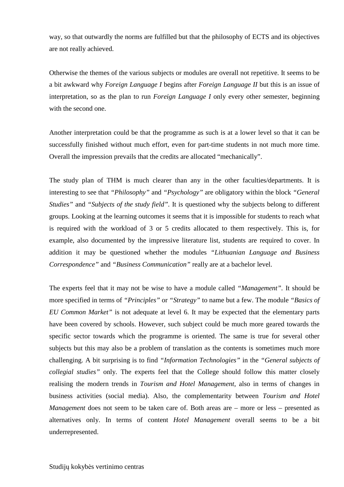way, so that outwardly the norms are fulfilled but that the philosophy of ECTS and its objectives are not really achieved.

Otherwise the themes of the various subjects or modules are overall not repetitive. It seems to be a bit awkward why *Foreign Language I* begins after *Foreign Language II* but this is an issue of interpretation, so as the plan to run *Foreign Language I* only every other semester, beginning with the second one.

Another interpretation could be that the programme as such is at a lower level so that it can be successfully finished without much effort, even for part-time students in not much more time. Overall the impression prevails that the credits are allocated "mechanically".

The study plan of THM is much clearer than any in the other faculties/departments. It is interesting to see that *"Philosophy"* and *"Psychology"* are obligatory within the block *"General Studies"* and *"Subjects of the study field".* It is questioned why the subjects belong to different groups. Looking at the learning outcomes it seems that it is impossible for students to reach what is required with the workload of 3 or 5 credits allocated to them respectively. This is, for example, also documented by the impressive literature list, students are required to cover. In addition it may be questioned whether the modules *"Lithuanian Language and Business Correspondence"* and *"Business Communication"* really are at a bachelor level.

The experts feel that it may not be wise to have a module called *"Management".* It should be more specified in terms of *"Principles"* or *"Strategy"* to name but a few. The module *"Basics of EU Common Market"* is not adequate at level 6. It may be expected that the elementary parts have been covered by schools. However, such subject could be much more geared towards the specific sector towards which the programme is oriented. The same is true for several other subjects but this may also be a problem of translation as the contents is sometimes much more challenging. A bit surprising is to find *"Information Technologies"* in the *"General subjects of collegial studies"* only. The experts feel that the College should follow this matter closely realising the modern trends in *Tourism and Hotel Management*, also in terms of changes in business activities (social media). Also, the complementarity between *Tourism and Hotel Management* does not seem to be taken care of. Both areas are – more or less – presented as alternatives only. In terms of content *Hotel Management* overall seems to be a bit underrepresented.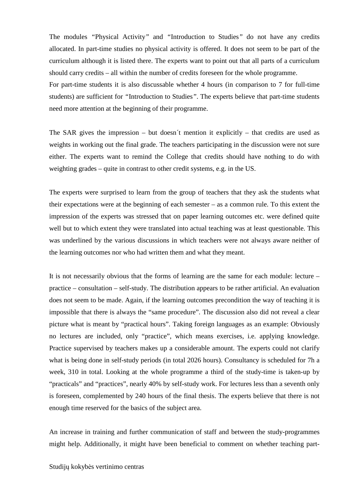The modules *"*Physical Activity*"* and *"*Introduction to Studies*"* do not have any credits allocated. In part-time studies no physical activity is offered. It does not seem to be part of the curriculum although it is listed there. The experts want to point out that all parts of a curriculum should carry credits – all within the number of credits foreseen for the whole programme.

For part-time students it is also discussable whether 4 hours (in comparison to 7 for full-time students) are sufficient for *"*Introduction to Studies*"*. The experts believe that part-time students need more attention at the beginning of their programme.

The SAR gives the impression – but doesn't mention it explicitly – that credits are used as weights in working out the final grade. The teachers participating in the discussion were not sure either. The experts want to remind the College that credits should have nothing to do with weighting grades – quite in contrast to other credit systems, e.g. in the US.

The experts were surprised to learn from the group of teachers that they ask the students what their expectations were at the beginning of each semester – as a common rule. To this extent the impression of the experts was stressed that on paper learning outcomes etc. were defined quite well but to which extent they were translated into actual teaching was at least questionable. This was underlined by the various discussions in which teachers were not always aware neither of the learning outcomes nor who had written them and what they meant.

It is not necessarily obvious that the forms of learning are the same for each module: lecture – practice – consultation – self-study. The distribution appears to be rather artificial. An evaluation does not seem to be made. Again, if the learning outcomes precondition the way of teaching it is impossible that there is always the "same procedure". The discussion also did not reveal a clear picture what is meant by "practical hours". Taking foreign languages as an example: Obviously no lectures are included, only "practice", which means exercises, i.e. applying knowledge. Practice supervised by teachers makes up a considerable amount. The experts could not clarify what is being done in self-study periods (in total 2026 hours). Consultancy is scheduled for 7h a week, 310 in total. Looking at the whole programme a third of the study-time is taken-up by "practicals" and "practices", nearly 40% by self-study work. For lectures less than a seventh only is foreseen, complemented by 240 hours of the final thesis. The experts believe that there is not enough time reserved for the basics of the subject area.

An increase in training and further communication of staff and between the study-programmes might help. Additionally, it might have been beneficial to comment on whether teaching part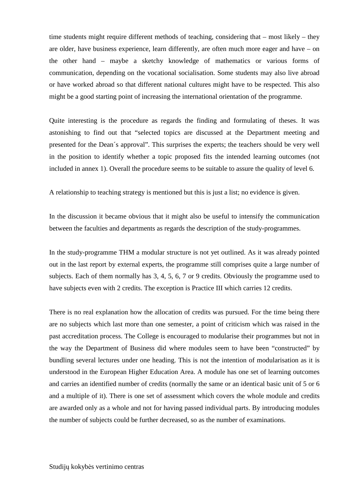time students might require different methods of teaching, considering that – most likely – they are older, have business experience, learn differently, are often much more eager and have – on the other hand – maybe a sketchy knowledge of mathematics or various forms of communication, depending on the vocational socialisation. Some students may also live abroad or have worked abroad so that different national cultures might have to be respected. This also might be a good starting point of increasing the international orientation of the programme.

Quite interesting is the procedure as regards the finding and formulating of theses. It was astonishing to find out that "selected topics are discussed at the Department meeting and presented for the Dean´s approval". This surprises the experts; the teachers should be very well in the position to identify whether a topic proposed fits the intended learning outcomes (not included in annex 1). Overall the procedure seems to be suitable to assure the quality of level 6.

A relationship to teaching strategy is mentioned but this is just a list; no evidence is given.

In the discussion it became obvious that it might also be useful to intensify the communication between the faculties and departments as regards the description of the study-programmes.

In the study-programme THM a modular structure is not yet outlined. As it was already pointed out in the last report by external experts, the programme still comprises quite a large number of subjects. Each of them normally has 3, 4, 5, 6, 7 or 9 credits. Obviously the programme used to have subjects even with 2 credits. The exception is Practice III which carries 12 credits.

There is no real explanation how the allocation of credits was pursued. For the time being there are no subjects which last more than one semester, a point of criticism which was raised in the past accreditation process. The College is encouraged to modularise their programmes but not in the way the Department of Business did where modules seem to have been "constructed" by bundling several lectures under one heading. This is not the intention of modularisation as it is understood in the European Higher Education Area. A module has one set of learning outcomes and carries an identified number of credits (normally the same or an identical basic unit of 5 or 6 and a multiple of it). There is one set of assessment which covers the whole module and credits are awarded only as a whole and not for having passed individual parts. By introducing modules the number of subjects could be further decreased, so as the number of examinations.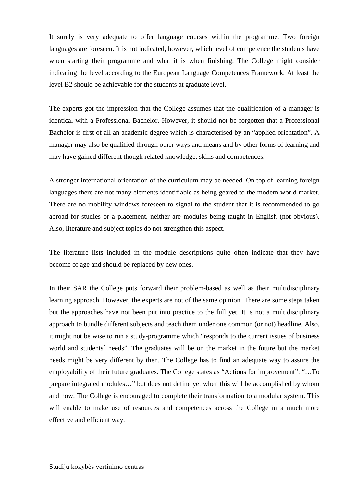It surely is very adequate to offer language courses within the programme. Two foreign languages are foreseen. It is not indicated, however, which level of competence the students have when starting their programme and what it is when finishing. The College might consider indicating the level according to the European Language Competences Framework. At least the level B2 should be achievable for the students at graduate level.

The experts got the impression that the College assumes that the qualification of a manager is identical with a Professional Bachelor. However, it should not be forgotten that a Professional Bachelor is first of all an academic degree which is characterised by an "applied orientation". A manager may also be qualified through other ways and means and by other forms of learning and may have gained different though related knowledge, skills and competences.

A stronger international orientation of the curriculum may be needed. On top of learning foreign languages there are not many elements identifiable as being geared to the modern world market. There are no mobility windows foreseen to signal to the student that it is recommended to go abroad for studies or a placement, neither are modules being taught in English (not obvious). Also, literature and subject topics do not strengthen this aspect.

The literature lists included in the module descriptions quite often indicate that they have become of age and should be replaced by new ones.

In their SAR the College puts forward their problem-based as well as their multidisciplinary learning approach. However, the experts are not of the same opinion. There are some steps taken but the approaches have not been put into practice to the full yet. It is not a multidisciplinary approach to bundle different subjects and teach them under one common (or not) headline. Also, it might not be wise to run a study-programme which "responds to the current issues of business world and students´ needs". The graduates will be on the market in the future but the market needs might be very different by then. The College has to find an adequate way to assure the employability of their future graduates. The College states as "Actions for improvement": "…To prepare integrated modules…" but does not define yet when this will be accomplished by whom and how. The College is encouraged to complete their transformation to a modular system. This will enable to make use of resources and competences across the College in a much more effective and efficient way.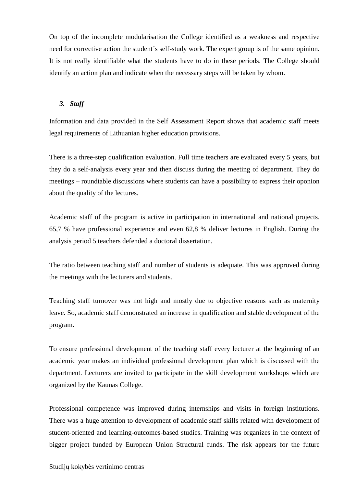On top of the incomplete modularisation the College identified as a weakness and respective need for corrective action the student´s self-study work. The expert group is of the same opinion. It is not really identifiable what the students have to do in these periods. The College should identify an action plan and indicate when the necessary steps will be taken by whom.

#### *3. Staff*

Information and data provided in the Self Assessment Report shows that academic staff meets legal requirements of Lithuanian higher education provisions.

There is a three-step qualification evaluation. Full time teachers are evaluated every 5 years, but they do a self-analysis every year and then discuss during the meeting of department. They do meetings – roundtable discussions where students can have a possibility to express their oponion about the quality of the lectures.

Academic staff of the program is active in participation in international and national projects. 65,7 % have professional experience and even 62,8 % deliver lectures in English. During the analysis period 5 teachers defended a doctoral dissertation.

The ratio between teaching staff and number of students is adequate. This was approved during the meetings with the lecturers and students.

Teaching staff turnover was not high and mostly due to objective reasons such as maternity leave. So, academic staff demonstrated an increase in qualification and stable development of the program.

To ensure professional development of the teaching staff every lecturer at the beginning of an academic year makes an individual professional development plan which is discussed with the department. Lecturers are invited to participate in the skill development workshops which are organized by the Kaunas College.

Professional competence was improved during internships and visits in foreign institutions. There was a huge attention to development of academic staff skills related with development of student-oriented and learning-outcomes-based studies. Training was organizes in the context of bigger project funded by European Union Structural funds. The risk appears for the future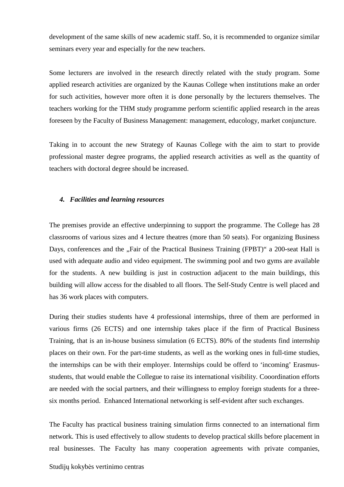development of the same skills of new academic staff. So, it is recommended to organize similar seminars every year and especially for the new teachers.

Some lecturers are involved in the research directly related with the study program. Some applied research activities are organized by the Kaunas College when institutions make an order for such activities, however more often it is done personally by the lecturers themselves. The teachers working for the THM study programme perform scientific applied research in the areas foreseen by the Faculty of Business Management: management, educology, market conjuncture.

Taking in to account the new Strategy of Kaunas College with the aim to start to provide professional master degree programs, the applied research activities as well as the quantity of teachers with doctoral degree should be increased.

#### *4. Facilities and learning resources*

The premises provide an effective underpinning to support the programme. The College has 28 classrooms of various sizes and 4 lecture theatres (more than 50 seats). For organizing Business Days, conferences and the "Fair of the Practical Business Training (FPBT)" a 200-seat Hall is used with adequate audio and video equipment. The swimming pool and two gyms are available for the students. A new building is just in costruction adjacent to the main buildings, this building will allow access for the disabled to all floors. The Self-Study Centre is well placed and has 36 work places with computers.

During their studies students have 4 professional internships, three of them are performed in various firms (26 ECTS) and one internship takes place if the firm of Practical Business Training, that is an in-house business simulation (6 ECTS). 80% of the students find internship places on their own. For the part-time students, as well as the working ones in full-time studies, the internships can be with their employer. Internships could be offerd to 'incoming' Erasmusstudents, that would enable the Collegue to raise its international visibility. Cooordination efforts are needed with the social partners, and their willingness to employ foreign students for a threesix months period. Enhanced International networking is self-evident after such exchanges.

The Faculty has practical business training simulation firms connected to an international firm network. This is used effectively to allow students to develop practical skills before placement in real businesses. The Faculty has many cooperation agreements with private companies,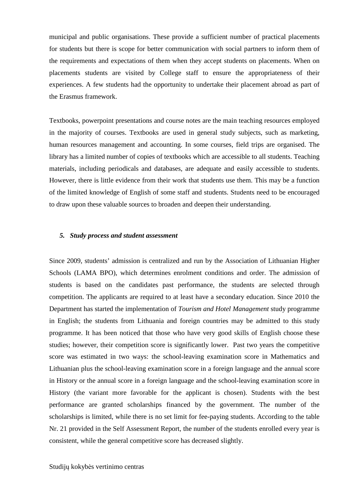municipal and public organisations. These provide a sufficient number of practical placements for students but there is scope for better communication with social partners to inform them of the requirements and expectations of them when they accept students on placements. When on placements students are visited by College staff to ensure the appropriateness of their experiences. A few students had the opportunity to undertake their placement abroad as part of the Erasmus framework.

Textbooks, powerpoint presentations and course notes are the main teaching resources employed in the majority of courses. Textbooks are used in general study subjects, such as marketing, human resources management and accounting. In some courses, field trips are organised. The library has a limited number of copies of textbooks which are accessible to all students. Teaching materials, including periodicals and databases, are adequate and easily accessible to students. However, there is little evidence from their work that students use them. This may be a function of the limited knowledge of English of some staff and students. Students need to be encouraged to draw upon these valuable sources to broaden and deepen their understanding.

#### *5. Study process and student assessment*

Since 2009, students' admission is centralized and run by the Association of Lithuanian Higher Schools (LAMA BPO), which determines enrolment conditions and order. The admission of students is based on the candidates past performance, the students are selected through competition. The applicants are required to at least have a secondary education. Since 2010 the Department has started the implementation of *Tourism and Hotel Management* study programme in English; the students from Lithuania and foreign countries may be admitted to this study programme. It has been noticed that those who have very good skills of English choose these studies; however, their competition score is significantly lower. Past two years the competitive score was estimated in two ways: the school-leaving examination score in Mathematics and Lithuanian plus the school-leaving examination score in a foreign language and the annual score in History or the annual score in a foreign language and the school-leaving examination score in History (the variant more favorable for the applicant is chosen). Students with the best performance are granted scholarships financed by the government. The number of the scholarships is limited, while there is no set limit for fee-paying students. According to the table Nr. 21 provided in the Self Assessment Report, the number of the students enrolled every year is consistent, while the general competitive score has decreased slightly.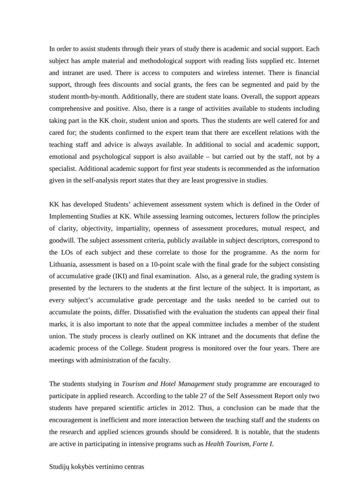In order to assist students through their years of study there is academic and social support. Each subject has ample material and methodological support with reading lists supplied etc. Internet and intranet are used. There is access to computers and wireless internet. There is financial support, through fees discounts and social grants, the fees can be segmented and paid by the student month-by-month. Additionally, there are student state loans. Overall, the support appears comprehensive and positive. Also, there is a range of activities available to students including taking part in the KK choir, student union and sports. Thus the students are well catered for and cared for; the students confirmed to the expert team that there are excellent relations with the teaching staff and advice is always available. In additional to social and academic support, emotional and psychological support is also available – but carried out by the staff, not by a specialist. Additional academic support for first year students is recommended as the information given in the self-analysis report states that they are least progressive in studies.

KK has developed Students' achievement assessment system which is defined in the Order of Implementing Studies at KK. While assessing learning outcomes, lecturers follow the principles of clarity, objectivity, impartiality, openness of assessment procedures, mutual respect, and goodwill. The subject assessment criteria, publicly available in subject descriptors, correspond to the LOs of each subject and these correlate to those for the programme. As the norm for Lithuania, assessment is based on a 10-point scale with the final grade for the subject consisting of accumulative grade (IKI) and final examination. Also, as a general rule, the grading system is presented by the lecturers to the students at the first lecture of the subject. It is important, as every subject's accumulative grade percentage and the tasks needed to be carried out to accumulate the points, differ. Dissatisfied with the evaluation the students can appeal their final marks, it is also important to note that the appeal committee includes a member of the student union. The study process is clearly outlined on KK intranet and the documents that define the academic process of the College. Student progress is monitored over the four years. There are meetings with administration of the faculty.

The students studying in *Tourism and Hotel Management* study programme are encouraged to participate in applied research. According to the table 27 of the Self Assessment Report only two students have prepared scientific articles in 2012. Thus, a conclusion can be made that the encouragement is inefficient and more interaction between the teaching staff and the students on the research and applied sciences grounds should be considered. It is notable, that the students are active in participating in intensive programs such as *Health Tourism*, *Forte I*.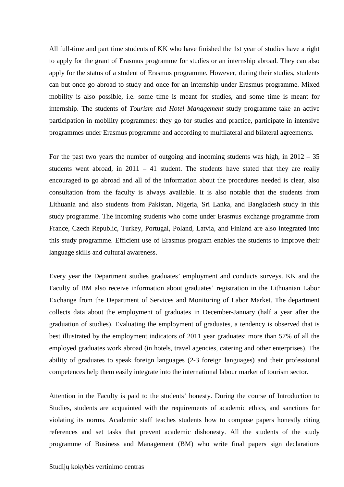All full-time and part time students of KK who have finished the 1st year of studies have a right to apply for the grant of Erasmus programme for studies or an internship abroad. They can also apply for the status of a student of Erasmus programme. However, during their studies, students can but once go abroad to study and once for an internship under Erasmus programme. Mixed mobility is also possible, i.e. some time is meant for studies, and some time is meant for internship. The students of *Tourism and Hotel Management* study programme take an active participation in mobility programmes: they go for studies and practice, participate in intensive programmes under Erasmus programme and according to multilateral and bilateral agreements.

For the past two years the number of outgoing and incoming students was high, in  $2012 - 35$ students went abroad, in  $2011 - 41$  student. The students have stated that they are really encouraged to go abroad and all of the information about the procedures needed is clear, also consultation from the faculty is always available. It is also notable that the students from Lithuania and also students from Pakistan, Nigeria, Sri Lanka, and Bangladesh study in this study programme. The incoming students who come under Erasmus exchange programme from France, Czech Republic, Turkey, Portugal, Poland, Latvia, and Finland are also integrated into this study programme. Efficient use of Erasmus program enables the students to improve their language skills and cultural awareness.

Every year the Department studies graduates' employment and conducts surveys. KK and the Faculty of BM also receive information about graduates' registration in the Lithuanian Labor Exchange from the Department of Services and Monitoring of Labor Market. The department collects data about the employment of graduates in December-January (half a year after the graduation of studies). Evaluating the employment of graduates, a tendency is observed that is best illustrated by the employment indicators of 2011 year graduates: more than 57% of all the employed graduates work abroad (in hotels, travel agencies, catering and other enterprises). The ability of graduates to speak foreign languages (2-3 foreign languages) and their professional competences help them easily integrate into the international labour market of tourism sector.

Attention in the Faculty is paid to the students' honesty. During the course of Introduction to Studies, students are acquainted with the requirements of academic ethics, and sanctions for violating its norms. Academic staff teaches students how to compose papers honestly citing references and set tasks that prevent academic dishonesty. All the students of the study programme of Business and Management (BM) who write final papers sign declarations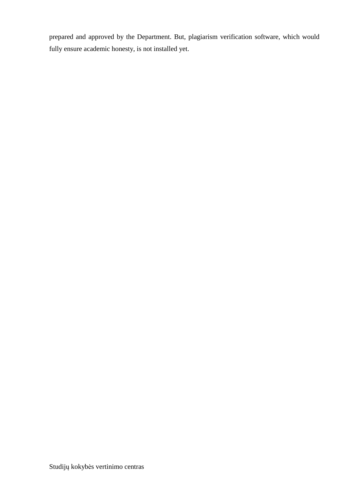prepared and approved by the Department. But, plagiarism verification software, which would fully ensure academic honesty, is not installed yet.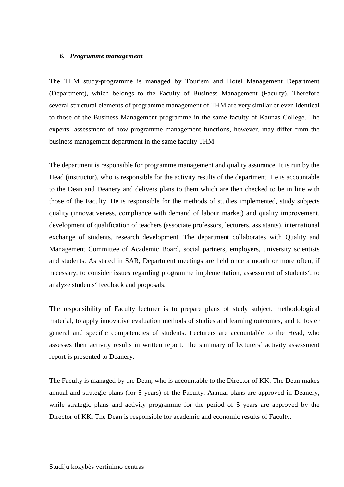#### *6. Programme management*

The THM study-programme is managed by Tourism and Hotel Management Department (Department), which belongs to the Faculty of Business Management (Faculty). Therefore several structural elements of programme management of THM are very similar or even identical to those of the Business Management programme in the same faculty of Kaunas College. The experts´ assessment of how programme management functions, however, may differ from the business management department in the same faculty THM.

The department is responsible for programme management and quality assurance. It is run by the Head (instructor), who is responsible for the activity results of the department. He is accountable to the Dean and Deanery and delivers plans to them which are then checked to be in line with those of the Faculty. He is responsible for the methods of studies implemented, study subjects quality (innovativeness, compliance with demand of labour market) and quality improvement, development of qualification of teachers (associate professors, lecturers, assistants), international exchange of students, research development. The department collaborates with Quality and Management Committee of Academic Board, social partners, employers, university scientists and students. As stated in SAR, Department meetings are held once a month or more often, if necessary, to consider issues regarding programme implementation, assessment of students'; to analyze students' feedback and proposals.

The responsibility of Faculty lecturer is to prepare plans of study subject, methodological material, to apply innovative evaluation methods of studies and learning outcomes, and to foster general and specific competencies of students. Lecturers are accountable to the Head, who assesses their activity results in written report. The summary of lecturers´ activity assessment report is presented to Deanery.

The Faculty is managed by the Dean, who is accountable to the Director of KK. The Dean makes annual and strategic plans (for 5 years) of the Faculty. Annual plans are approved in Deanery, while strategic plans and activity programme for the period of 5 years are approved by the Director of KK. The Dean is responsible for academic and economic results of Faculty.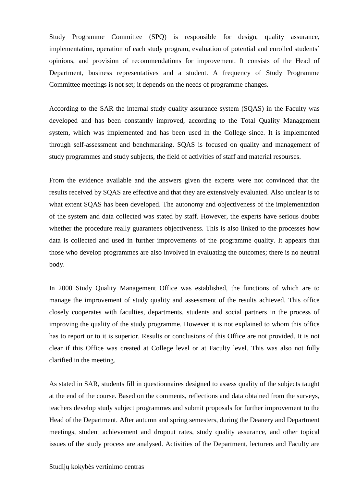Study Programme Committee (SPQ) is responsible for design, quality assurance, implementation, operation of each study program, evaluation of potential and enrolled students´ opinions, and provision of recommendations for improvement. It consists of the Head of Department, business representatives and a student. A frequency of Study Programme Committee meetings is not set; it depends on the needs of programme changes.

According to the SAR the internal study quality assurance system (SQAS) in the Faculty was developed and has been constantly improved, according to the Total Quality Management system, which was implemented and has been used in the College since. It is implemented through self-assessment and benchmarking. SQAS is focused on quality and management of study programmes and study subjects, the field of activities of staff and material resourses.

From the evidence available and the answers given the experts were not convinced that the results received by SQAS are effective and that they are extensively evaluated. Also unclear is to what extent SQAS has been developed. The autonomy and objectiveness of the implementation of the system and data collected was stated by staff. However, the experts have serious doubts whether the procedure really guarantees objectiveness. This is also linked to the processes how data is collected and used in further improvements of the programme quality. It appears that those who develop programmes are also involved in evaluating the outcomes; there is no neutral body.

In 2000 Study Quality Management Office was established, the functions of which are to manage the improvement of study quality and assessment of the results achieved. This office closely cooperates with faculties, departments, students and social partners in the process of improving the quality of the study programme. However it is not explained to whom this office has to report or to it is superior. Results or conclusions of this Office are not provided. It is not clear if this Office was created at College level or at Faculty level. This was also not fully clarified in the meeting.

As stated in SAR, students fill in questionnaires designed to assess quality of the subjects taught at the end of the course. Based on the comments, reflections and data obtained from the surveys, teachers develop study subject programmes and submit proposals for further improvement to the Head of the Department. After autumn and spring semesters, during the Deanery and Department meetings, student achievement and dropout rates, study quality assurance, and other topical issues of the study process are analysed. Activities of the Department, lecturers and Faculty are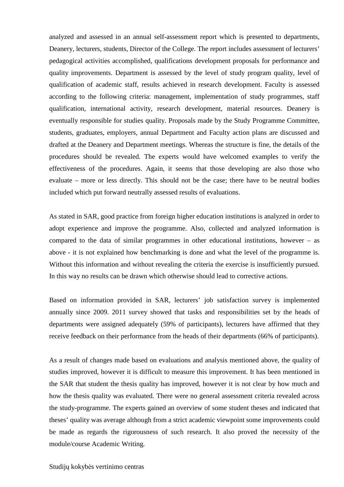analyzed and assessed in an annual self-assessment report which is presented to departments, Deanery, lecturers, students, Director of the College. The report includes assessment of lecturers' pedagogical activities accomplished, qualifications development proposals for performance and quality improvements. Department is assessed by the level of study program quality, level of qualification of academic staff, results achieved in research development. Faculty is assessed according to the following criteria: management, implementation of study programmes, staff qualification, international activity, research development, material resources. Deanery is eventually responsible for studies quality. Proposals made by the Study Programme Committee, students, graduates, employers, annual Department and Faculty action plans are discussed and drafted at the Deanery and Department meetings. Whereas the structure is fine, the details of the procedures should be revealed. The experts would have welcomed examples to verify the effectiveness of the procedures. Again, it seems that those developing are also those who evaluate – more or less directly. This should not be the case; there have to be neutral bodies included which put forward neutrally assessed results of evaluations.

As stated in SAR, good practice from foreign higher education institutions is analyzed in order to adopt experience and improve the programme. Also, collected and analyzed information is compared to the data of similar programmes in other educational institutions, however – as above - it is not explained how benchmarking is done and what the level of the programme is. Without this information and without revealing the criteria the exercise is insufficiently pursued. In this way no results can be drawn which otherwise should lead to corrective actions.

Based on information provided in SAR, lecturers' job satisfaction survey is implemented annually since 2009. 2011 survey showed that tasks and responsibilities set by the heads of departments were assigned adequately (59% of participants), lecturers have affirmed that they receive feedback on their performance from the heads of their departments (66% of participants).

As a result of changes made based on evaluations and analysis mentioned above, the quality of studies improved, however it is difficult to measure this improvement. It has been mentioned in the SAR that student the thesis quality has improved, however it is not clear by how much and how the thesis quality was evaluated. There were no general assessment criteria revealed across the study-programme. The experts gained an overview of some student theses and indicated that theses' quality was average although from a strict academic viewpoint some improvements could be made as regards the rigorousness of such research. It also proved the necessity of the module/course Academic Writing.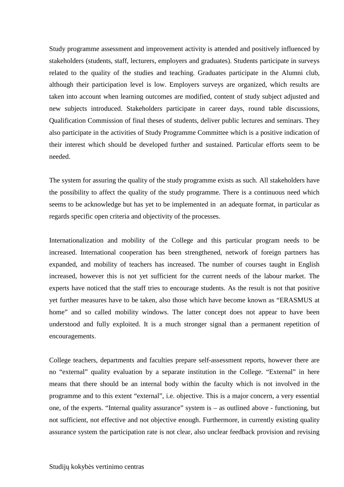Study programme assessment and improvement activity is attended and positively influenced by stakeholders (students, staff, lecturers, employers and graduates). Students participate in surveys related to the quality of the studies and teaching. Graduates participate in the Alumni club, although their participation level is low. Employers surveys are organized, which results are taken into account when learning outcomes are modified, content of study subject adjusted and new subjects introduced. Stakeholders participate in career days, round table discussions, Qualification Commission of final theses of students, deliver public lectures and seminars. They also participate in the activities of Study Programme Committee which is a positive indication of their interest which should be developed further and sustained. Particular efforts seem to be needed.

The system for assuring the quality of the study programme exists as such. All stakeholders have the possibility to affect the quality of the study programme. There is a continuous need which seems to be acknowledge but has yet to be implemented in an adequate format, in particular as regards specific open criteria and objectivity of the processes.

Internationalization and mobility of the College and this particular program needs to be increased. International cooperation has been strengthened, network of foreign partners has expanded, and mobility of teachers has increased. The number of courses taught in English increased, however this is not yet sufficient for the current needs of the labour market. The experts have noticed that the staff tries to encourage students. As the result is not that positive yet further measures have to be taken, also those which have become known as "ERASMUS at home" and so called mobility windows. The latter concept does not appear to have been understood and fully exploited. It is a much stronger signal than a permanent repetition of encouragements.

College teachers, departments and faculties prepare self-assessment reports, however there are no "external" quality evaluation by a separate institution in the College. "External" in here means that there should be an internal body within the faculty which is not involved in the programme and to this extent "external", i.e. objective. This is a major concern, a very essential one, of the experts. "Internal quality assurance" system is – as outlined above - functioning, but not sufficient, not effective and not objective enough. Furthermore, in currently existing quality assurance system the participation rate is not clear, also unclear feedback provision and revising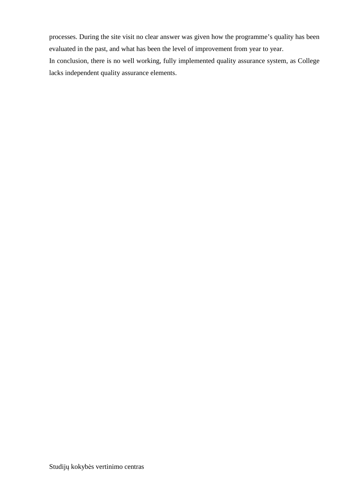processes. During the site visit no clear answer was given how the programme's quality has been evaluated in the past, and what has been the level of improvement from year to year. In conclusion, there is no well working, fully implemented quality assurance system, as College lacks independent quality assurance elements.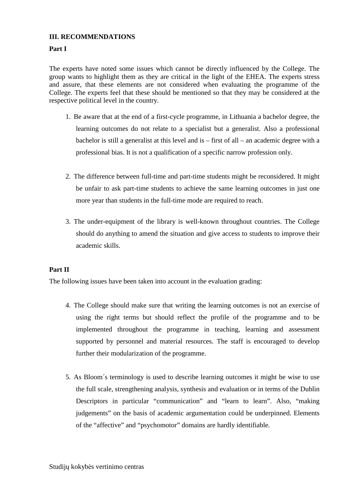#### **III. RECOMMENDATIONS**

#### **Part I**

The experts have noted some issues which cannot be directly influenced by the College. The group wants to highlight them as they are critical in the light of the EHEA. The experts stress and assure, that these elements are not considered when evaluating the programme of the College. The experts feel that these should be mentioned so that they may be considered at the respective political level in the country.

- 1. Be aware that at the end of a first-cycle programme, in Lithuania a bachelor degree, the learning outcomes do not relate to a specialist but a generalist. Also a professional bachelor is still a generalist at this level and is – first of all – an academic degree with a professional bias. It is not a qualification of a specific narrow profession only.
- 2. The difference between full-time and part-time students might be reconsidered. It might be unfair to ask part-time students to achieve the same learning outcomes in just one more year than students in the full-time mode are required to reach.
- 3. The under-equipment of the library is well-known throughout countries. The College should do anything to amend the situation and give access to students to improve their academic skills.

#### **Part II**

The following issues have been taken into account in the evaluation grading:

- 4. The College should make sure that writing the learning outcomes is not an exercise of using the right terms but should reflect the profile of the programme and to be implemented throughout the programme in teaching, learning and assessment supported by personnel and material resources. The staff is encouraged to develop further their modularization of the programme.
- 5. As Bloom´s terminology is used to describe learning outcomes it might be wise to use the full scale, strengthening analysis, synthesis and evaluation or in terms of the Dublin Descriptors in particular "communication" and "learn to learn". Also, "making judgements" on the basis of academic argumentation could be underpinned. Elements of the "affective" and "psychomotor" domains are hardly identifiable.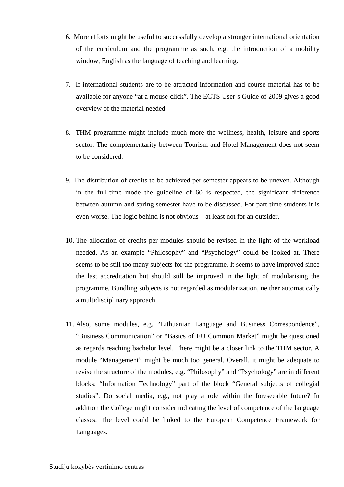- 6. More efforts might be useful to successfully develop a stronger international orientation of the curriculum and the programme as such, e.g. the introduction of a mobility window, English as the language of teaching and learning.
- 7. If international students are to be attracted information and course material has to be available for anyone "at a mouse-click". The ECTS User´s Guide of 2009 gives a good overview of the material needed.
- 8. THM programme might include much more the wellness, health, leisure and sports sector. The complementarity between Tourism and Hotel Management does not seem to be considered.
- 9. The distribution of credits to be achieved per semester appears to be uneven. Although in the full-time mode the guideline of 60 is respected, the significant difference between autumn and spring semester have to be discussed. For part-time students it is even worse. The logic behind is not obvious – at least not for an outsider.
- 10. The allocation of credits per modules should be revised in the light of the workload needed. As an example "Philosophy" and "Psychology" could be looked at. There seems to be still too many subjects for the programme. It seems to have improved since the last accreditation but should still be improved in the light of modularising the programme. Bundling subjects is not regarded as modularization, neither automatically a multidisciplinary approach.
- 11. Also, some modules, e.g. "Lithuanian Language and Business Correspondence", "Business Communication" or "Basics of EU Common Market" might be questioned as regards reaching bachelor level. There might be a closer link to the THM sector. A module "Management" might be much too general. Overall, it might be adequate to revise the structure of the modules, e.g. "Philosophy" and "Psychology" are in different blocks; "Information Technology" part of the block "General subjects of collegial studies". Do social media, e.g., not play a role within the foreseeable future? In addition the College might consider indicating the level of competence of the language classes. The level could be linked to the European Competence Framework for Languages.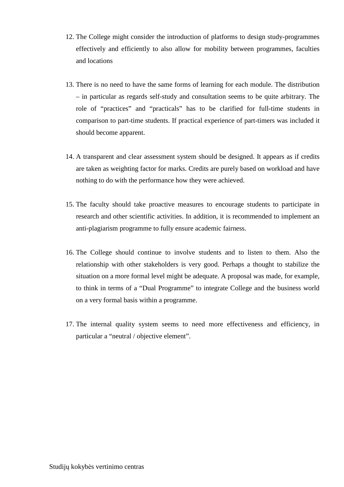- 12. The College might consider the introduction of platforms to design study-programmes effectively and efficiently to also allow for mobility between programmes, faculties and locations
- 13. There is no need to have the same forms of learning for each module. The distribution – in particular as regards self-study and consultation seems to be quite arbitrary. The role of "practices" and "practicals" has to be clarified for full-time students in comparison to part-time students. If practical experience of part-timers was included it should become apparent.
- 14. A transparent and clear assessment system should be designed. It appears as if credits are taken as weighting factor for marks. Credits are purely based on workload and have nothing to do with the performance how they were achieved.
- 15. The faculty should take proactive measures to encourage students to participate in research and other scientific activities. In addition, it is recommended to implement an anti-plagiarism programme to fully ensure academic fairness.
- 16. The College should continue to involve students and to listen to them. Also the relationship with other stakeholders is very good. Perhaps a thought to stabilize the situation on a more formal level might be adequate. A proposal was made, for example, to think in terms of a "Dual Programme" to integrate College and the business world on a very formal basis within a programme.
- 17. The internal quality system seems to need more effectiveness and efficiency, in particular a "neutral / objective element".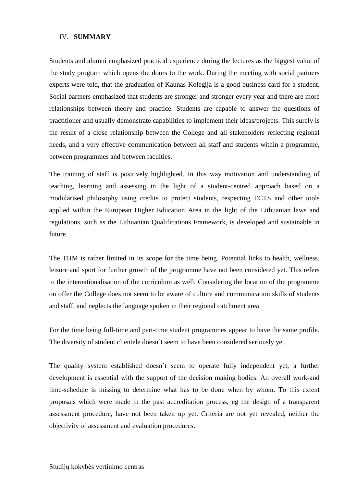#### IV. **SUMMARY**

Students and alumni emphasized practical experience during the lectures as the biggest value of the study program which opens the doors to the work. During the meeting with social partners experts were told, that the graduation of Kaunas Kolegija is a good business card for a student. Social partners emphasized that students are stronger and stronger every year and there are more relationships between theory and practice. Students are capable to answer the questions of practitioner and usually demonstrate capabilities to implement their ideas/projects. This surely is the result of a close relationship between the College and all stakeholders reflecting regional needs, and a very effective communication between all staff and students within a programme, between programmes and between faculties.

The training of staff is positively highlighted. In this way motivation and understanding of teaching, learning and assessing in the light of a student-centred approach based on a modularised philosophy using credits to protect students, respecting ECTS and other tools applied within the European Higher Education Area in the light of the Lithuanian laws and regulations, such as the Lithuanian Qualifications Framework, is developed and sustainable in future.

The THM is rather limited in its scope for the time being. Potential links to health, wellness, leisure and sport for further growth of the programme have not been considered yet. This refers to the internationalisation of the curriculum as well. Considering the location of the programme on offer the College does not seem to be aware of culture and communication skills of students and staff, and neglects the language spoken in their regional catchment area.

For the time being full-time and part-time student programmes appear to have the same profile. The diversity of student clientele doesn´t seem to have been considered seriously yet.

The quality system established doesn´t seem to operate fully independent yet, a further development is essential with the support of the decision making bodies. An overall work-and time-schedule is missing to determine what has to be done when by whom. To this extent proposals which were made in the past accreditation process, eg the design of a transparent assessment procedure, have not been taken up yet. Criteria are not yet revealed, neither the objectivity of assessment and evaluation procedures.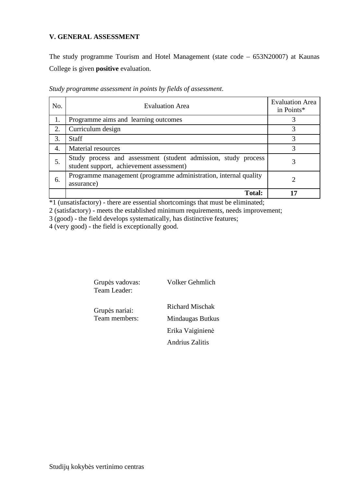#### **V. GENERAL ASSESSMENT**

The study programme Tourism and Hotel Management (state code – 653N20007) at Kaunas College is given **positive** evaluation.

| No. | <b>Evaluation Area</b>                                                                                     | <b>Evaluation Area</b><br>in Points* |
|-----|------------------------------------------------------------------------------------------------------------|--------------------------------------|
| 1.  | Programme aims and learning outcomes                                                                       |                                      |
| 2.  | Curriculum design                                                                                          |                                      |
| 3.  | <b>Staff</b>                                                                                               | 3                                    |
| 4.  | Material resources                                                                                         | 3                                    |
| 5.  | Study process and assessment (student admission, study process<br>student support, achievement assessment) |                                      |
| 6.  | Programme management (programme administration, internal quality<br>assurance)                             |                                      |
|     | <b>Total:</b>                                                                                              |                                      |

*Study programme assessment in points by fields of assessment*.

\*1 (unsatisfactory) - there are essential shortcomings that must be eliminated;

2 (satisfactory) - meets the established minimum requirements, needs improvement;

3 (good) - the field develops systematically, has distinctive features;

4 (very good) - the field is exceptionally good.

| Grupės vadovas:<br>Team Leader: | Volker Gehmlich  |
|---------------------------------|------------------|
| Grupės nariai:                  | Richard Mischak  |
| Team members:                   | Mindaugas Butkus |
|                                 | Erika Vaiginienė |
|                                 | Andrius Zalitis  |
|                                 |                  |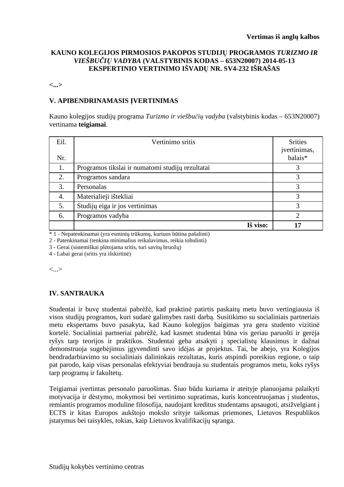#### **KAUNO KOLEGIJOS PIRMOSIOS PAKOPOS STUDIJŲ PROGRAMOS** *TURIZMO IR VIEŠBUČIŲ VADYBA* **(VALSTYBINIS KODAS – 653N20007) 2014-05-13 EKSPERTINIO VERTINIMO IŠVADŲ NR. SV4-232 IŠRAŠAS**

#### **<...>**

#### **V. APIBENDRINAMASIS ĮVERTINIMAS**

Kauno kolegijos studijų programa *Turizmo ir viešbučių vadyba* (valstybinis kodas – 653N20007) vertinama **teigiamai**.

| Eil.<br>Nr. | Vertinimo sritis                                 | <b>Srities</b><br>įvertinimas,<br>balais* |
|-------------|--------------------------------------------------|-------------------------------------------|
| 1.          | Programos tikslai ir numatomi studijų rezultatai | 3                                         |
| 2.          | Programos sandara                                | 3                                         |
| 3.          | Personalas                                       | 3                                         |
| 4.          | Materialieji ištekliai                           | 3                                         |
| 5.          | Studijų eiga ir jos vertinimas                   | 3                                         |
| 6.          | Programos vadyba                                 | $\overline{2}$                            |
|             | Iš viso:                                         | 17                                        |

\* 1 - Nepatenkinamai (yra esminių trūkumų, kuriuos būtina pašalinti)

2 - Patenkinamai (tenkina minimalius reikalavimus, reikia tobulinti)

3 - Gerai (sistemiškai plėtojama sritis, turi savitų bruožų)

4 - Labai gerai (sritis yra išskirtinė)

<...>

#### **IV. SANTRAUKA**

Studentai ir buvę studentai pabrėžė, kad praktinė patirtis paskaitų metu buvo vertingiausia iš visos studijų programos, kuri sudarė galimybes rasti darbą. Susitikimo su socialiniais partneriais metu ekspertams buvo pasakyta, kad Kauno kolegijos baigimas yra gera studento vizitinė kortelė. Socialiniai partneriai pabrėžė, kad kasmet studentai būna vis geriau paruošti ir gerėja ryšys tarp teorijos ir praktikos. Studentai geba atsakyti į specialistų klausimus ir dažnai demonstruoja sugebėjimus įgyvendinti savo idėjas ar projektus. Tai, be abejo, yra Kolegijos bendradarbiavimo su socialiniais dalininkais rezultatas, kuris atspindi poreikius regione, o taip pat parodo, kaip visas personalas efektyviai bendrauja su studentais programos metu, koks ryšys tarp programų ir fakultetų.

Teigiamai įvertintas personalo paruošimas. Šiuo būdu kuriama ir ateityje planuojama palaikyti motyvacija ir dėstymo, mokymosi bei vertinimo supratimas, kuris koncentruojamas į studentus, remiantis programos moduline filosofija, naudojant kreditus studentams apsaugoti, atsižvelgiant į ECTS ir kitas Europos aukštojo mokslo srityje taikomas priemones, Lietuvos Respublikos įstatymus bei taisykles, tokias, kaip Lietuvos kvalifikacijų sąranga.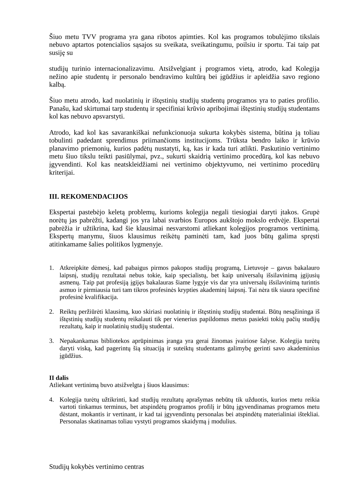Šiuo metu TVV programa yra gana ribotos apimties. Kol kas programos tobulėjimo tikslais nebuvo aptartos potencialios sąsajos su sveikata, sveikatingumu, poilsiu ir sportu. Tai taip pat susiję su

studijų turinio internacionalizavimu. Atsižvelgiant į programos vietą, atrodo, kad Kolegija nežino apie studentų ir personalo bendravimo kultūrą bei įgūdžius ir apleidžia savo regiono kalbą.

Šiuo metu atrodo, kad nuolatinių ir ištęstinių studijų studentų programos yra to paties profilio. Panašu, kad skirtumai tarp studentų ir specifiniai krūvio apribojimai ištęstinių studijų studentams kol kas nebuvo apsvarstyti.

Atrodo, kad kol kas savarankiškai nefunkcionuoja sukurta kokybės sistema, būtina ją toliau tobulinti padedant sprendimus priimančioms institucijoms. Trūksta bendro laiko ir krūvio planavimo priemonių, kurios padėtų nustatyti, ką, kas ir kada turi atlikti. Paskutinio vertinimo metu šiuo tikslu teikti pasiūlymai, pvz., sukurti skaidrią vertinimo procedūrą, kol kas nebuvo įgyvendinti. Kol kas neatskleidžiami nei vertinimo objektyvumo, nei vertinimo procedūrų kriterijai.

#### **III. REKOMENDACIJOS**

Ekspertai pastebėjo keletą problemų, kurioms kolegija negali tiesiogiai daryti įtakos. Grupė norėtų jas pabrėžti, kadangi jos yra labai svarbios Europos aukštojo mokslo erdvėje. Ekspertai pabrėžia ir užtikrina, kad šie klausimai nesvarstomi atliekant kolegijos programos vertinimą. Ekspertų manymu, šiuos klausimus reikėtų paminėti tam, kad juos būtų galima spręsti atitinkamame šalies politikos lygmenyje.

- 1. Atkreipkite dėmesį, kad pabaigus pirmos pakopos studijų programą, Lietuvoje gavus bakalauro laipsnį, studijų rezultatai nebus tokie, kaip specialistų, bet kaip universalų išsilavinimą įgijusių asmenų. Taip pat profesiją įgijęs bakalauras šiame lygyje vis dar yra universalų išsilavinimą turintis asmuo ir pirmiausia turi tam tikros profesinės krypties akademinį laipsnį. Tai nėra tik siaura specifinė profesinė kvalifikacija.
- 2. Reiktų peržiūrėti klausimą, kuo skiriasi nuolatinių ir ištęstinių studijų studentai. Būtų nesąžininga iš ištęstinių studijų studentų reikalauti tik per vienerius papildomus metus pasiekti tokių pačių studijų rezultatų, kaip ir nuolatinių studijų studentai.
- 3. Nepakankamas bibliotekos aprūpinimas įranga yra gerai žinomas įvairiose šalyse. Kolegija turėtų daryti viską, kad pagerintų šią situaciją ir suteiktų studentams galimybę gerinti savo akademinius įgūdžius.

#### **II dalis**

Atliekant vertinimą buvo atsižvelgta į šiuos klausimus:

4. Kolegija turėtų užtikrinti, kad studijų rezultatų aprašymas nebūtų tik užduotis, kurios metu reikia vartoti tinkamus terminus, bet atspindėtų programos profilį ir būtų įgyvendinamas programos metu dėstant, mokantis ir vertinant, ir kad tai įgyvendintų personalas bei atspindėtų materialiniai ištekliai. Personalas skatinamas toliau vystyti programos skaidymą į modulius.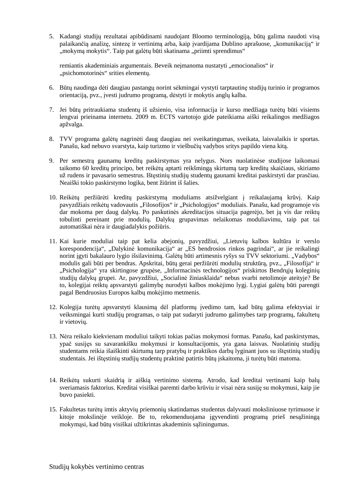5. Kadangi studijų rezultatai apibūdinami naudojant Bloomo terminologiją, būtų galima naudoti visą palaikančią analizę, sintezę ir vertinimą arba, kaip įvardijama Dublino aprašuose, "komunikaciją" ir "mokymą mokytis". Taip pat galėtų būti skatinama "priimti sprendimus"

remiantis akademiniais argumentais. Beveik neįmanoma nustatyti "emocionalios" ir "psichomotorinės" srities elementų.

- 6. Būtų naudinga dėti daugiau pastangų norint sėkmingai vystyti tarptautinę studijų turinio ir programos orientaciją, pvz., įvesti judrumo programą, dėstyti ir mokytis anglų kalba.
- 7. Jei būtų pritraukiama studentų iš užsienio, visa informacija ir kurso medžiaga turėtų būti visiems lengvai prieinama internetu. 2009 m. ECTS vartotojo gide pateikiama aiški reikalingos medžiagos apžvalga.
- 8. TVV programa galėtų nagrinėti daug daugiau nei sveikatingumas, sveikata, laisvalaikis ir sportas. Panašu, kad nebuvo svarstyta, kaip turizmo ir viešbučių vadybos sritys papildo viena kitą.
- 9. Per semestrą gaunamų kreditų paskirstymas yra nelygus. Nors nuolatinėse studijose laikomasi taikomo 60 kreditų principo, bet reikėtų aptarti reikšmingą skirtumą tarp kreditų skaičiaus, skiriamo už rudens ir pavasario semestrus. Ištęstinių studijų studentų gaunami kreditai paskirstyti dar prasčiau. Neaiški tokio paskirstymo logika, bent žiūrint iš šalies.
- 10. Reikėtų peržiūrėti kreditų paskirstymą moduliams atsižvelgiant į reikalaujamą krūvį. Kaip pavyzdžiais reikėtų vadovautis "Filosofijos" ir "Psichologijos" moduliais. Panašu, kad programoje vis dar mokoma per daug dalykų. Po paskutinės akreditacijos situacija pagerėjo, bet ją vis dar reiktų tobulinti pereinant prie modulių. Dalykų grupavimas nelaikomas moduliavimu, taip pat tai automatiškai nėra ir daugiadalykis požiūris.
- 11. Kai kurie moduliai taip pat kelia abejonių, pavyzdžiui, "Lietuvių kalbos kultūra ir verslo korespondencija", "Dalykinė komunikacija" ar "ES bendrosios rinkos pagrindai", ar jie reikalingi norint įgyti bakalauro lygio išsilavinimą. Galėtų būti artimesnis ryšys su TVV sektoriumi. "Vadybos" modulis gali būti per bendras. Apskritai, būtų gerai peržiūrėti modulių struktūrą, pvz., "Filosofija" ir "Psichologija" yra skirtingose grupėse, "Informacinės technologijos" priskirtos Bendrųjų koleginių studijų dalykų grupei. Ar, pavyzdžiui, "Socialinė žiniasklaida" nebus svarbi netolimoje ateityje? Be to, kolegijai reiktų apsvarstyti galimybę nurodyti kalbos mokėjimo lygį. Lygiai galėtų būti parengti pagal Bendruosius Europos kalbų mokėjimo metmenis.
- 12. Kolegija turėtų apsvarstyti klausimą dėl platformų įvedimo tam, kad būtų galima efektyviai ir veiksmingai kurti studijų programas, o taip pat sudaryti judrumo galimybes tarp programų, fakultetų ir vietovių.
- 13. Nėra reikalo kiekvienam moduliui taikyti tokias pačias mokymosi formas. Panašu, kad paskirstymas, ypač susijęs su savarankišku mokymusi ir konsultacijomis, yra gana laisvas. Nuolatinių studijų studentams reikia išaiškinti skirtumą tarp pratybų ir praktikos darbų lyginant juos su ištęstinių studijų studentais. Jei ištęstinių studijų studentų praktinė patirtis būtų įskaitoma, ji turėtų būti matoma.
- 14. Reikėtų sukurti skaidrią ir aiškią vertinimo sistemą. Atrodo, kad kreditai vertinami kaip balų sveriamasis faktorius. Kreditai visiškai paremti darbo krūviu ir visai nėra susiję su mokymusi, kaip jie buvo pasiekti.
- 15. Fakultetas turėtų imtis aktyvių priemonių skatindamas studentus dalyvauti moksliniuose tyrimuose ir kitoje mokslinėje veikloje. Be to, rekomenduojama įgyvendinti programą prieš nesąžiningą mokymąsi, kad būtų visiškai užtikrintas akademinis sąžiningumas.